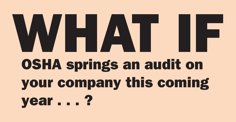## **WHAT IF OSHA springs an audit on your company this coming year . . . ?**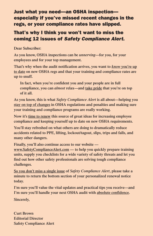#### **Just what you need—an OSHA inspection especially if you've missed recent changes in the regs, or your compliance rates have slipped.**

#### **That's why I think you won't want to miss the coming 12 issues of** *Safety Compliance Alert***.**

**Dear Subscriber:**

**As you know, OSHA inspections can be** *unnerving***—for you, for your employees and for your top management.**

**That's why when the audit notification arrives, you want to** *know* **you're up to date on new OSHA regs and that your training and compliance rates are up to snuff.**

**In fact, when you're confident you and your people are in full compliance, you can** *almost* **relax—and take pride that you're on top of it all.**

**As you know, this is what** *Safety Compliance Alert* **is all about—helping you stay on top of changes in OSHA regulations and penalties and making sure your training and compliance programs are really working.**

**Now it's time to renew this source of great ideas for increasing employee compliance and keeping yourself up to date on new OSHA requirements.**

**You'll stay refreshed on what others are doing to dramatically reduce accidents related to PPE, lifting, lockout/tagout, slips, trips and falls, and many other dangers.**

**Finally, you'll also continue access to our website —**

**www.SafetyComplianceAlert.com — to help you quickly prepare training units, supply you checklists for a wide variety of safety threats and let you find out how other safety professionals are solving tough compliance challenges.**

**So you don't miss a single issue of** *Safety Compliance Alert***, please take a minute to return the bottom section of your personalized renewal notice today.**

**I'm sure you'll value the vital updates and practical tips you receive—and I'm sure you'll handle your next OSHA audit with absolute confidence.**

**Sincerely,**

**Curt Brown Editorial Director Safety Compliance Alert**